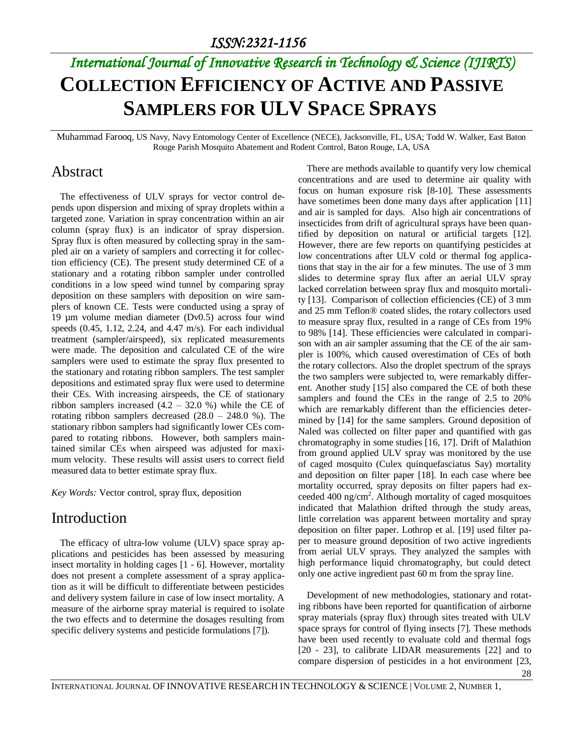# *International Journal of Innovative Research in Technology & Science (IJIRTS)* **COLLECTION EFFICIENCY OF ACTIVE AND PASSIVE SAMPLERS FOR ULV SPACE SPRAYS**

Muhammad Farooq, US Navy, Navy Entomology Center of Excellence (NECE), Jacksonville, FL, USA; Todd W. Walker, East Baton Rouge Parish Mosquito Abatement and Rodent Control, Baton Rouge, LA, USA

#### Abstract

The effectiveness of ULV sprays for vector control depends upon dispersion and mixing of spray droplets within a targeted zone. Variation in spray concentration within an air column (spray flux) is an indicator of spray dispersion. Spray flux is often measured by collecting spray in the sampled air on a variety of samplers and correcting it for collection efficiency (CE). The present study determined CE of a stationary and a rotating ribbon sampler under controlled conditions in a low speed wind tunnel by comparing spray deposition on these samplers with deposition on wire samplers of known CE. Tests were conducted using a spray of 19 µm volume median diameter (Dv0.5) across four wind speeds (0.45, 1.12, 2.24, and 4.47 m/s). For each individual treatment (sampler/airspeed), six replicated measurements were made. The deposition and calculated CE of the wire samplers were used to estimate the spray flux presented to the stationary and rotating ribbon samplers. The test sampler depositions and estimated spray flux were used to determine their CEs. With increasing airspeeds, the CE of stationary ribbon samplers increased  $(4.2 - 32.0 %)$  while the CE of rotating ribbon samplers decreased  $(28.0 - 248.0 \%)$ . The stationary ribbon samplers had significantly lower CEs compared to rotating ribbons. However, both samplers maintained similar CEs when airspeed was adjusted for maximum velocity. These results will assist users to correct field measured data to better estimate spray flux.

*Key Words:* Vector control, spray flux, deposition

#### Introduction

The efficacy of ultra-low volume (ULV) space spray applications and pesticides has been assessed by measuring insect mortality in holding cages [1 - 6]. However, mortality does not present a complete assessment of a spray application as it will be difficult to differentiate between pesticides and delivery system failure in case of low insect mortality. A measure of the airborne spray material is required to isolate the two effects and to determine the dosages resulting from specific delivery systems and pesticide formulations [7]).

There are methods available to quantify very low chemical concentrations and are used to determine air quality with focus on human exposure risk [8-10]. These assessments have sometimes been done many days after application [11] and air is sampled for days. Also high air concentrations of insecticides from drift of agricultural sprays have been quantified by deposition on natural or artificial targets [12]. However, there are few reports on quantifying pesticides at low concentrations after ULV cold or thermal fog applications that stay in the air for a few minutes. The use of 3 mm slides to determine spray flux after an aerial ULV spray lacked correlation between spray flux and mosquito mortality [13]. Comparison of collection efficiencies (CE) of 3 mm and 25 mm Teflon® coated slides, the rotary collectors used to measure spray flux, resulted in a range of CEs from 19% to 98% [14]. These efficiencies were calculated in comparison with an air sampler assuming that the CE of the air sampler is 100%, which caused overestimation of CEs of both the rotary collectors. Also the droplet spectrum of the sprays the two samplers were subjected to, were remarkably different. Another study [15] also compared the CE of both these samplers and found the CEs in the range of 2.5 to 20% which are remarkably different than the efficiencies determined by [14] for the same samplers. Ground deposition of Naled was collected on filter paper and quantified with gas chromatography in some studies [16, 17]. Drift of Malathion from ground applied ULV spray was monitored by the use of caged mosquito (Culex quinquefasciatus Say) mortality and deposition on filter paper [18]. In each case where bee mortality occurred, spray deposits on filter papers had exceeded 400 ng/cm<sup>2</sup>. Although mortality of caged mosquitoes indicated that Malathion drifted through the study areas, little correlation was apparent between mortality and spray deposition on filter paper. Lothrop et al. [19] used filter paper to measure ground deposition of two active ingredients from aerial ULV sprays. They analyzed the samples with high performance liquid chromatography, but could detect only one active ingredient past 60 m from the spray line.

Development of new methodologies, stationary and rotating ribbons have been reported for quantification of airborne spray materials (spray flux) through sites treated with ULV space sprays for control of flying insects [7]. These methods have been used recently to evaluate cold and thermal fogs [20 - 23], to calibrate LIDAR measurements [22] and to compare dispersion of pesticides in a hot environment [23,

28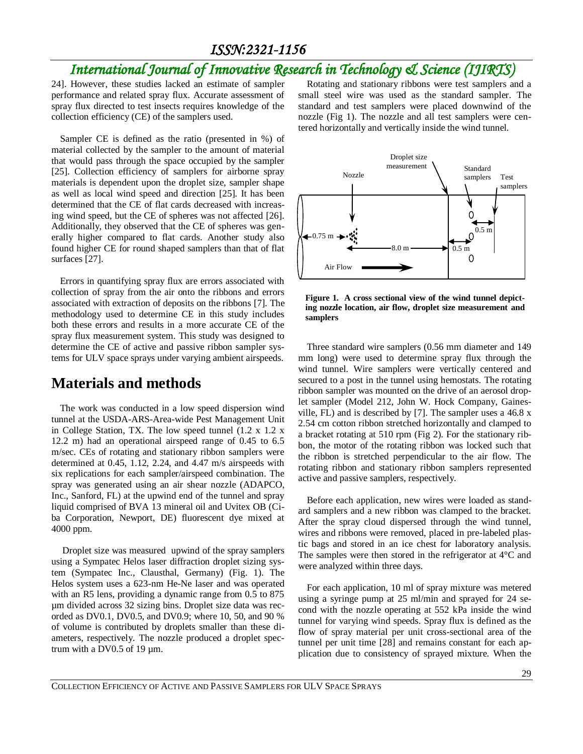## *International Journal of Innovative Research in Technology & Science (IJIRTS)*

24]. However, these studies lacked an estimate of sampler performance and related spray flux. Accurate assessment of spray flux directed to test insects requires knowledge of the collection efficiency (CE) of the samplers used.

Sampler CE is defined as the ratio (presented in %) of material collected by the sampler to the amount of material that would pass through the space occupied by the sampler [25]. Collection efficiency of samplers for airborne spray materials is dependent upon the droplet size, sampler shape as well as local wind speed and direction [25]. It has been determined that the CE of flat cards decreased with increasing wind speed, but the CE of spheres was not affected [26]. Additionally, they observed that the CE of spheres was generally higher compared to flat cards. Another study also found higher CE for round shaped samplers than that of flat surfaces [27].

Errors in quantifying spray flux are errors associated with collection of spray from the air onto the ribbons and errors associated with extraction of deposits on the ribbons [7]. The methodology used to determine CE in this study includes both these errors and results in a more accurate CE of the spray flux measurement system. This study was designed to determine the CE of active and passive ribbon sampler systems for ULV space sprays under varying ambient airspeeds.

#### **Materials and methods**

The work was conducted in a low speed dispersion wind tunnel at the USDA-ARS-Area-wide Pest Management Unit in College Station, TX. The low speed tunnel (1.2 x 1.2 x 12.2 m) had an operational airspeed range of 0.45 to 6.5 m/sec. CEs of rotating and stationary ribbon samplers were determined at 0.45, 1.12, 2.24, and 4.47 m/s airspeeds with six replications for each sampler/airspeed combination. The spray was generated using an air shear nozzle (ADAPCO, Inc., Sanford, FL) at the upwind end of the tunnel and spray liquid comprised of BVA 13 mineral oil and Uvitex OB (Ciba Corporation, Newport, DE) fluorescent dye mixed at 4000 ppm.

Droplet size was measured upwind of the spray samplers using a Sympatec Helos laser diffraction droplet sizing system (Sympatec Inc., Clausthal, Germany) (Fig. 1). The Helos system uses a 623-nm He-Ne laser and was operated with an R5 lens, providing a dynamic range from 0.5 to 875 µm divided across 32 sizing bins. Droplet size data was recorded as DV0.1, DV0.5, and DV0.9; where 10, 50, and 90 % of volume is contributed by droplets smaller than these diameters, respectively. The nozzle produced a droplet spectrum with a DV0.5 of 19 µm.

Rotating and stationary ribbons were test samplers and a small steel wire was used as the standard sampler. The standard and test samplers were placed downwind of the nozzle (Fig 1). The nozzle and all test samplers were centered horizontally and vertically inside the wind tunnel.



**Figure 1. A cross sectional view of the wind tunnel depicting nozzle location, air flow, droplet size measurement and samplers**

Three standard wire samplers (0.56 mm diameter and 149 mm long) were used to determine spray flux through the wind tunnel. Wire samplers were vertically centered and secured to a post in the tunnel using hemostats. The rotating ribbon sampler was mounted on the drive of an aerosol droplet sampler (Model 212, John W. Hock Company, Gainesville, FL) and is described by [7]. The sampler uses a 46.8 x 2.54 cm cotton ribbon stretched horizontally and clamped to a bracket rotating at 510 rpm (Fig 2). For the stationary ribbon, the motor of the rotating ribbon was locked such that the ribbon is stretched perpendicular to the air flow. The rotating ribbon and stationary ribbon samplers represented active and passive samplers, respectively.

Before each application, new wires were loaded as standard samplers and a new ribbon was clamped to the bracket. After the spray cloud dispersed through the wind tunnel, wires and ribbons were removed, placed in pre-labeled plastic bags and stored in an ice chest for laboratory analysis. The samples were then stored in the refrigerator at 4°C and were analyzed within three days.

For each application, 10 ml of spray mixture was metered using a syringe pump at 25 ml/min and sprayed for 24 second with the nozzle operating at 552 kPa inside the wind tunnel for varying wind speeds. Spray flux is defined as the flow of spray material per unit cross-sectional area of the tunnel per unit time [28] and remains constant for each application due to consistency of sprayed mixture. When the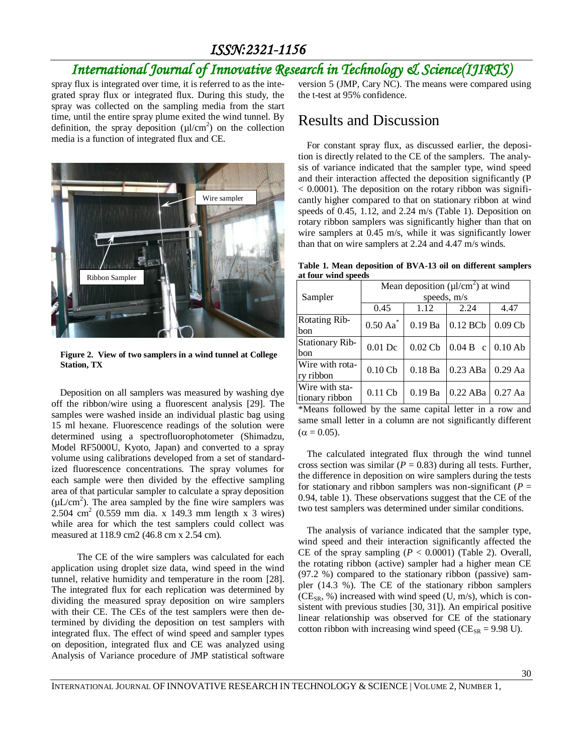## *International Journal of Innovative Research in Technology & Science(IJIRTS)*

spray flux is integrated over time, it is referred to as the integrated spray flux or integrated flux. During this study, the spray was collected on the sampling media from the start time, until the entire spray plume exited the wind tunnel. By definition, the spray deposition  $(\mu l/cm^2)$  on the collection media is a function of integrated flux and CE.



**Figure 2. View of two samplers in a wind tunnel at College Station, TX**

Deposition on all samplers was measured by washing dye off the ribbon/wire using a fluorescent analysis [29]. The samples were washed inside an individual plastic bag using 15 ml hexane. Fluorescence readings of the solution were determined using a spectrofluorophotometer (Shimadzu, Model RF5000U, Kyoto, Japan) and converted to a spray volume using calibrations developed from a set of standardized fluorescence concentrations. The spray volumes for each sample were then divided by the effective sampling area of that particular sampler to calculate a spray deposition  $(\mu L/cm^2)$ . The area sampled by the fine wire samplers was 2.504 cm<sup>2</sup> (0.559 mm dia. x 149.3 mm length x 3 wires) while area for which the test samplers could collect was measured at 118.9 cm2 (46.8 cm x 2.54 cm).

The CE of the wire samplers was calculated for each application using droplet size data, wind speed in the wind tunnel, relative humidity and temperature in the room [28]. The integrated flux for each replication was determined by dividing the measured spray deposition on wire samplers with their CE. The CEs of the test samplers were then determined by dividing the deposition on test samplers with integrated flux. The effect of wind speed and sampler types on deposition, integrated flux and CE was analyzed using Analysis of Variance procedure of JMP statistical software

version 5 (JMP, Cary NC). The means were compared using the t-test at 95% confidence.

#### Results and Discussion

For constant spray flux, as discussed earlier, the deposition is directly related to the CE of the samplers. The analysis of variance indicated that the sampler type, wind speed and their interaction affected the deposition significantly (P  $< 0.0001$ ). The deposition on the rotary ribbon was significantly higher compared to that on stationary ribbon at wind speeds of 0.45, 1.12, and 2.24 m/s (Table 1). Deposition on rotary ribbon samplers was significantly higher than that on wire samplers at 0.45 m/s, while it was significantly lower than that on wire samplers at 2.24 and 4.47 m/s winds.

**Table 1. Mean deposition of BVA-13 oil on different samplers at four wind speeds**

|                                  | Mean deposition $(\mu l/cm^2)$ at wind |                       |            |           |  |
|----------------------------------|----------------------------------------|-----------------------|------------|-----------|--|
| Sampler                          | speeds, $m/s$                          |                       |            |           |  |
|                                  | 0.45                                   | 1.12                  | 2.24       | 4.47      |  |
| <b>Rotating Rib-</b><br>bon      | $0.50$ Aa $^*$                         | $0.19$ Ba             | $0.12$ BCb | 0.09Cb    |  |
| <b>Stationary Rib-</b><br>bon    | $0.01$ Dc                              | $0.02$ C <sub>b</sub> | $0.04 B$ c | $0.10$ Ab |  |
| Wire with rota-<br>ry ribbon     | 0.10Cb                                 | $0.18$ Ba             | $0.23$ ABa | $0.29$ Aa |  |
| Wire with sta-<br>tionary ribbon | $0.11$ Cb                              | $0.19$ Ba             | $0.22$ ABa | $0.27$ Aa |  |

\*Means followed by the same capital letter in a row and same small letter in a column are not significantly different  $(\alpha = 0.05)$ .

The calculated integrated flux through the wind tunnel cross section was similar ( $P = 0.83$ ) during all tests. Further, the difference in deposition on wire samplers during the tests for stationary and ribbon samplers was non-significant ( $P =$ 0.94, table 1). These observations suggest that the CE of the two test samplers was determined under similar conditions.

The analysis of variance indicated that the sampler type, wind speed and their interaction significantly affected the CE of the spray sampling  $(P < 0.0001)$  (Table 2). Overall, the rotating ribbon (active) sampler had a higher mean CE (97.2 %) compared to the stationary ribbon (passive) sampler (14.3 %). The CE of the stationary ribbon samplers  $(CE_{SR}, %)$  increased with wind speed (U, m/s), which is consistent with previous studies [30, 31]). An empirical positive linear relationship was observed for CE of the stationary cotton ribbon with increasing wind speed ( $CE_{SR} = 9.98$  U).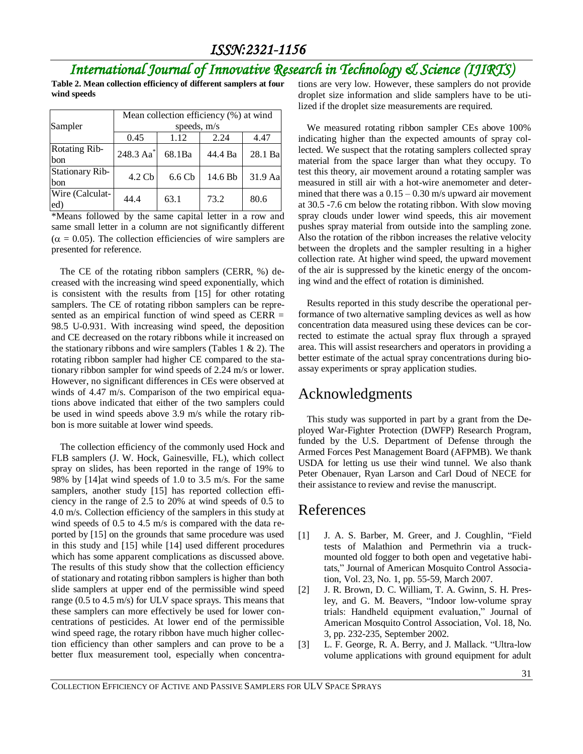## *International Journal of Innovative Research in Technology & Science (IJIRTS)*

**Table 2. Mean collection efficiency of different samplers at four wind speeds**

|                               | Mean collection efficiency (%) at wind |                   |         |         |  |
|-------------------------------|----------------------------------------|-------------------|---------|---------|--|
| Sampler                       | speeds, m/s                            |                   |         |         |  |
|                               | 0.45                                   | 1.12              | 2.24    | 4.47    |  |
| <b>Rotating Rib-</b><br>bon   | 248.3 Aa <sup>*</sup>                  | 68.1Ba            | 44.4 Ba | 28.1 Ba |  |
| <b>Stationary Rib-</b><br>bon | 4.2 <sub>cb</sub>                      | 6.6 <sub>cb</sub> | 14.6 Bb | 31.9 Aa |  |
| Wire (Calculat-<br>ed)        | 44.4                                   | 63.1              | 73.2    | 80.6    |  |

\*Means followed by the same capital letter in a row and same small letter in a column are not significantly different  $(\alpha = 0.05)$ . The collection efficiencies of wire samplers are presented for reference.

The CE of the rotating ribbon samplers (CERR, %) decreased with the increasing wind speed exponentially, which is consistent with the results from [15] for other rotating samplers. The CE of rotating ribbon samplers can be represented as an empirical function of wind speed as CERR = 98.5 U-0.931. With increasing wind speed, the deposition and CE decreased on the rotary ribbons while it increased on the stationary ribbons and wire samplers (Tables  $1 \& 2$ ). The rotating ribbon sampler had higher CE compared to the stationary ribbon sampler for wind speeds of 2.24 m/s or lower. However, no significant differences in CEs were observed at winds of 4.47 m/s. Comparison of the two empirical equations above indicated that either of the two samplers could be used in wind speeds above 3.9 m/s while the rotary ribbon is more suitable at lower wind speeds.

The collection efficiency of the commonly used Hock and FLB samplers (J. W. Hock, Gainesville, FL), which collect spray on slides, has been reported in the range of 19% to 98% by [14]at wind speeds of 1.0 to 3.5 m/s. For the same samplers, another study [15] has reported collection efficiency in the range of 2.5 to 20% at wind speeds of 0.5 to 4.0 m/s. Collection efficiency of the samplers in this study at wind speeds of 0.5 to 4.5 m/s is compared with the data reported by [15] on the grounds that same procedure was used in this study and [15] while [14] used different procedures which has some apparent complications as discussed above. The results of this study show that the collection efficiency of stationary and rotating ribbon samplers is higher than both slide samplers at upper end of the permissible wind speed range (0.5 to 4.5 m/s) for ULV space sprays. This means that these samplers can more effectively be used for lower concentrations of pesticides. At lower end of the permissible wind speed rage, the rotary ribbon have much higher collection efficiency than other samplers and can prove to be a better flux measurement tool, especially when concentrations are very low. However, these samplers do not provide droplet size information and slide samplers have to be utilized if the droplet size measurements are required.

We measured rotating ribbon sampler CEs above 100% indicating higher than the expected amounts of spray collected. We suspect that the rotating samplers collected spray material from the space larger than what they occupy. To test this theory, air movement around a rotating sampler was measured in still air with a hot-wire anemometer and determined that there was a  $0.15 - 0.30$  m/s upward air movement at 30.5 -7.6 cm below the rotating ribbon. With slow moving spray clouds under lower wind speeds, this air movement pushes spray material from outside into the sampling zone. Also the rotation of the ribbon increases the relative velocity between the droplets and the sampler resulting in a higher collection rate. At higher wind speed, the upward movement of the air is suppressed by the kinetic energy of the oncoming wind and the effect of rotation is diminished.

Results reported in this study describe the operational performance of two alternative sampling devices as well as how concentration data measured using these devices can be corrected to estimate the actual spray flux through a sprayed area. This will assist researchers and operators in providing a better estimate of the actual spray concentrations during bioassay experiments or spray application studies.

## Acknowledgments

This study was supported in part by a grant from the Deployed War-Fighter Protection (DWFP) Research Program, funded by the U.S. Department of Defense through the Armed Forces Pest Management Board (AFPMB). We thank USDA for letting us use their wind tunnel. We also thank Peter Obenauer, Ryan Larson and Carl Doud of NECE for their assistance to review and revise the manuscript.

## References

- [1] J. A. S. Barber, M. Greer, and J. Coughlin, "Field tests of Malathion and Permethrin via a truckmounted old fogger to both open and vegetative habitats," Journal of American Mosquito Control Association, Vol. 23, No. 1, pp. 55-59, March 2007.
- [2] J. R. Brown, D. C. William, T. A. Gwinn, S. H. Presley, and G. M. Beavers, "Indoor low-volume spray trials: Handheld equipment evaluation," Journal of American Mosquito Control Association, Vol. 18, No. 3, pp. 232-235, September 2002.
- [3] L. F. George, R. A. Berry, and J. Mallack. "Ultra-low volume applications with ground equipment for adult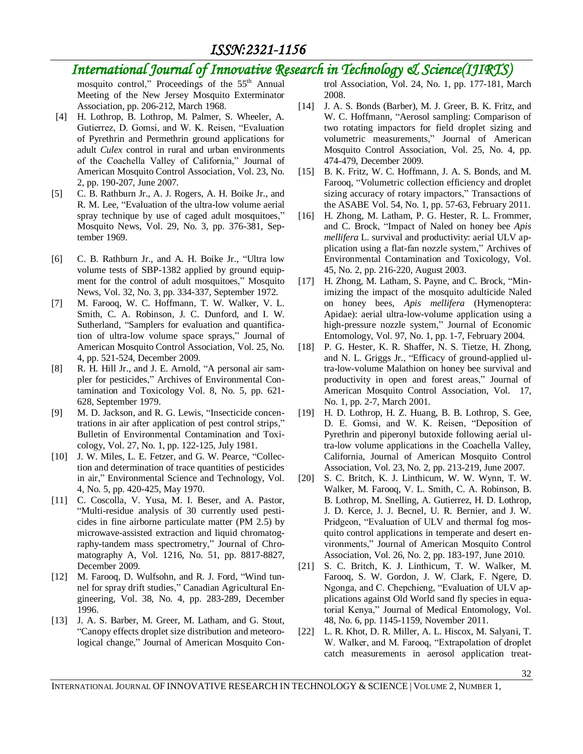### *International Journal of Innovative Research in Technology & Science(IJIRTS)*

mosquito control," Proceedings of the 55<sup>th</sup> Annual Meeting of the New Jersey Mosquito Exterminator Association, pp. 206-212, March 1968.

- [4] H. Lothrop, B. Lothrop, M. Palmer, S. Wheeler, A. Gutierrez, D. Gomsi, and W. K. Reisen, "Evaluation of Pyrethrin and Permethrin ground applications for adult *Culex* control in rural and urban environments of the Coachella Valley of California," Journal of American Mosquito Control Association, Vol. 23, No. 2, pp. 190-207, June 2007.
- [5] C. B. Rathburn Jr., A. J. Rogers, A. H. Boike Jr., and R. M. Lee, "Evaluation of the ultra-low volume aerial spray technique by use of caged adult mosquitoes," Mosquito News, Vol. 29, No. 3, pp. 376-381, September 1969.
- [6] C. B. Rathburn Jr., and A. H. Boike Jr., "Ultra low volume tests of SBP-1382 applied by ground equipment for the control of adult mosquitoes," Mosquito News, Vol. 32, No. 3, pp. 334-337, September 1972.
- [7] M. Farooq, W. C. Hoffmann, T. W. Walker, V. L. Smith, C. A. Robinson, J. C. Dunford, and I. W. Sutherland, "Samplers for evaluation and quantification of ultra-low volume space sprays," Journal of American Mosquito Control Association, Vol. 25, No. 4, pp. 521-524, December 2009.
- [8] R. H. Hill Jr., and J. E. Arnold, "A personal air sampler for pesticides," Archives of Environmental Contamination and Toxicology Vol. 8, No. 5, pp. 621- 628, September 1979.
- [9] M. D. Jackson, and R. G. Lewis, "Insecticide concentrations in air after application of pest control strips," Bulletin of Environmental Contamination and Toxicology, Vol. 27, No. 1, pp. 122-125, July 1981.
- [10] J. W. Miles, L. E. Fetzer, and G. W. Pearce, "Collection and determination of trace quantities of pesticides in air," Environmental Science and Technology, Vol. 4, No. 5, pp. 420-425, May 1970.
- [11] C. Coscolla, V. Yusa, M. I. Beser, and A. Pastor, "Multi-residue analysis of 30 currently used pesticides in fine airborne particulate matter (PM 2.5) by microwave-assisted extraction and liquid chromatography-tandem mass spectrometry," Journal of Chromatography A, Vol. 1216, No. 51, pp. 8817-8827, December 2009.
- [12] M. Farooq, D. Wulfsohn, and R. J. Ford, "Wind tunnel for spray drift studies," Canadian Agricultural Engineering, Vol. 38, No. 4, pp. 283-289, December 1996.
- [13] J. A. S. Barber, M. Greer, M. Latham, and G. Stout, "Canopy effects droplet size distribution and meteorological change," Journal of American Mosquito Con-

trol Association, Vol. 24, No. 1, pp. 177-181, March 2008.

- [14] J. A. S. Bonds (Barber), M. J. Greer, B. K. Fritz, and W. C. Hoffmann, "Aerosol sampling: Comparison of two rotating impactors for field droplet sizing and volumetric measurements," Journal of American Mosquito Control Association, Vol. 25, No. 4, pp. 474-479, December 2009.
- [15] B. K. Fritz, W. C. Hoffmann, J. A. S. Bonds, and M. Farooq, "Volumetric collection efficiency and droplet sizing accuracy of rotary impactors," Transactions of the ASABE Vol. 54, No. 1, pp. 57-63, February 2011.
- [16] H. [Zhong,](http://www.ncbi.nlm.nih.gov/pubmed?term=Zhong%20H%5BAuthor%5D&cauthor=true&cauthor_uid=14565579) M. [Latham,](http://www.ncbi.nlm.nih.gov/pubmed?term=Latham%20M%5BAuthor%5D&cauthor=true&cauthor_uid=14565579) P. G. [Hester,](http://www.ncbi.nlm.nih.gov/pubmed?term=Hester%20PG%5BAuthor%5D&cauthor=true&cauthor_uid=14565579) R. L. [Frommer,](http://www.ncbi.nlm.nih.gov/pubmed?term=Frommer%20RL%5BAuthor%5D&cauthor=true&cauthor_uid=14565579) and C. [Brock,](http://www.ncbi.nlm.nih.gov/pubmed?term=Brock%20C%5BAuthor%5D&cauthor=true&cauthor_uid=14565579) "Impact of Naled on honey bee *Apis mellifera* L. survival and productivity: aerial ULV application using a flat-fan nozzle system," Archives of Environmental Contamination and Toxicology, Vol. 45, No. 2, pp. 216-220, August 2003.
- [17] H. Zhong, M. Latham, S. Payne, and C. Brock, "Minimizing the impact of the mosquito adulticide Naled on honey bees, *Apis mellifera* (Hymenoptera: Apidae): aerial ultra-low-volume application using a high-pressure nozzle system," Journal of Economic Entomology, Vol. 97, No. 1, pp. 1-7, February 2004.
- [18] P. G. [Hester,](http://www.ncbi.nlm.nih.gov/pubmed?term=Hester%20PG%5BAuthor%5D&cauthor=true&cauthor_uid=11345413) K. R. [Shaffer,](http://www.ncbi.nlm.nih.gov/pubmed?term=Shaffer%20KR%5BAuthor%5D&cauthor=true&cauthor_uid=11345413) N. S. [Tietze,](http://www.ncbi.nlm.nih.gov/pubmed?term=Tietze%20NS%5BAuthor%5D&cauthor=true&cauthor_uid=11345413) H. [Zhong,](http://www.ncbi.nlm.nih.gov/pubmed?term=Zhong%20H%5BAuthor%5D&cauthor=true&cauthor_uid=11345413) and N. L. [Griggs Jr.](http://www.ncbi.nlm.nih.gov/pubmed?term=Griggs%20NL%20Jr%5BAuthor%5D&cauthor=true&cauthor_uid=11345413), "Efficacy of ground-applied ultra-low-volume Malathion on honey bee survival and productivity in open and forest areas," Journal of [American Mosquito Control Associ](http://www.ncbi.nlm.nih.gov/pubmed/11345413)ation, Vol. 17, No. 1, pp. 2-7, March 2001.
- [19] H. D. Lothrop, H. Z. Huang, B. B. Lothrop, S. Gee, D. E. Gomsi, and W. K. Reisen, "Deposition of Pyrethrin and piperonyl butoxide following aerial ultra-low volume applications in the Coachella Valley, California, Journal of American Mosquito Control Association, Vol. 23, No. 2, pp. 213-219, June 2007.
- [20] S. C. Britch, K. J. Linthicum, W. W. Wynn, T. W. Walker, M. Farooq, V. L. Smith, C. A. Robinson, B. B. Lothrop, M. Snelling, A. Gutierrez, H. D. Lothrop, J. D. Kerce, J. J. Becnel, U. R. Bernier, and J. W. Pridgeon, "Evaluation of ULV and thermal fog mosquito control applications in temperate and desert environments," Journal of American Mosquito Control Association, Vol. 26, No. 2, pp. 183-197, June 2010.
- [21] S. C. Britch, K. J. Linthicum, T. W. Walker, M. Farooq, S. W. Gordon, J. W. Clark, F. Ngere, D. Ngonga, and C. Chepchieng, "Evaluation of ULV applications against Old World sand fly species in equatorial Kenya," Journal of Medical Entomology, Vol. 48, No. 6, pp. 1145-1159, November 2011.
- [22] L. R. Khot, D. R. Miller, A. L. Hiscox, M. Salyani, T. W. Walker, and M. Farooq, "Extrapolation of droplet catch measurements in aerosol application treat-

INTERNATIONAL JOURNAL OF INNOVATIVE RESEARCH IN TECHNOLOGY & SCIENCE | VOLUME 2, NUMBER 1,